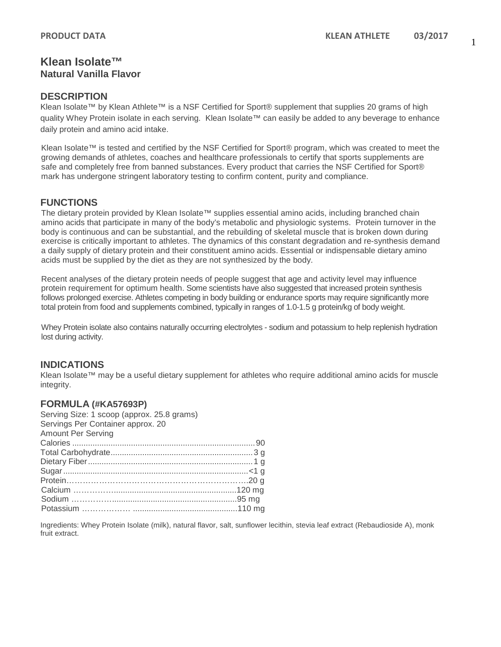## **Klean Isolate™ Natural Vanilla Flavor**

## **DESCRIPTION**

Klean Isolate™ by Klean Athlete™ is a NSF Certified for Sport® supplement that supplies 20 grams of high quality Whey Protein isolate in each serving. Klean Isolate™ can easily be added to any beverage to enhance daily protein and amino acid intake.

Klean Isolate™ is tested and certified by the NSF Certified for Sport® program, which was created to meet the growing demands of athletes, coaches and healthcare professionals to certify that sports supplements are safe and completely free from banned substances. Every product that carries the NSF Certified for Sport® mark has undergone stringent laboratory testing to confirm content, purity and compliance.

## **FUNCTIONS**

The dietary protein provided by Klean Isolate™ supplies essential amino acids, including branched chain amino acids that participate in many of the body's metabolic and physiologic systems. Protein turnover in the body is continuous and can be substantial, and the rebuilding of skeletal muscle that is broken down during exercise is critically important to athletes. The dynamics of this constant degradation and re-synthesis demand a daily supply of dietary protein and their constituent amino acids. Essential or indispensable dietary amino acids must be supplied by the diet as they are not synthesized by the body.

Recent analyses of the dietary protein needs of people suggest that age and activity level may influence protein requirement for optimum health. Some scientists have also suggested that increased protein synthesis follows prolonged exercise. Athletes competing in body building or endurance sports may require significantly more total protein from food and supplements combined, typically in ranges of 1.0-1.5 g protein/kg of body weight.

Whey Protein isolate also contains naturally occurring electrolytes - sodium and potassium to help replenish hydration lost during activity.

## **INDICATIONS**

Klean Isolate™ may be a useful dietary supplement for athletes who require additional amino acids for muscle integrity.

## **FORMULA (#KA57693P)**

| Serving Size: 1 scoop (approx. 25.8 grams) |  |
|--------------------------------------------|--|
| Servings Per Container approx. 20          |  |
| <b>Amount Per Serving</b>                  |  |
|                                            |  |
|                                            |  |
|                                            |  |
|                                            |  |
|                                            |  |
|                                            |  |
|                                            |  |
|                                            |  |

Ingredients: Whey Protein Isolate (milk), natural flavor, salt, sunflower lecithin, stevia leaf extract (Rebaudioside A), monk fruit extract.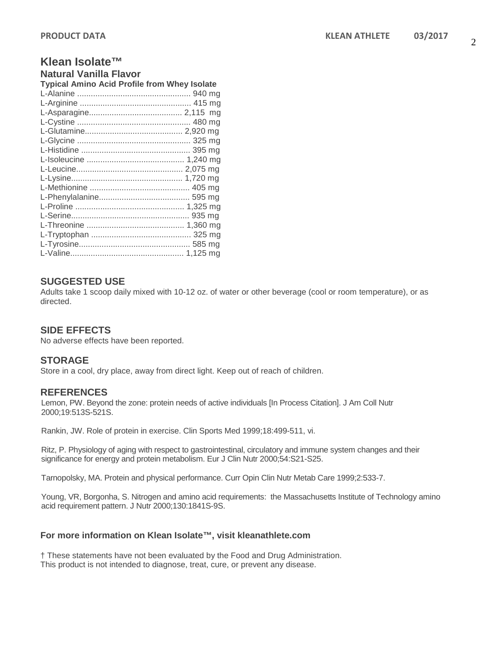## **Klean Isolate™**

| Natural Vanilla Flavor                              |  |  |
|-----------------------------------------------------|--|--|
| <b>Typical Amino Acid Profile from Whey Isolate</b> |  |  |
|                                                     |  |  |
|                                                     |  |  |
|                                                     |  |  |
|                                                     |  |  |
|                                                     |  |  |
|                                                     |  |  |
|                                                     |  |  |
|                                                     |  |  |
|                                                     |  |  |
|                                                     |  |  |
|                                                     |  |  |
|                                                     |  |  |
|                                                     |  |  |
|                                                     |  |  |
|                                                     |  |  |
|                                                     |  |  |
|                                                     |  |  |
|                                                     |  |  |

## **SUGGESTED USE**

Adults take 1 scoop daily mixed with 10-12 oz. of water or other beverage (cool or room temperature), or as directed.

## **SIDE EFFECTS**

No adverse effects have been reported.

## **STORAGE**

Store in a cool, dry place, away from direct light. Keep out of reach of children.

## **REFERENCES**

Lemon, PW. Beyond the zone: protein needs of active individuals [In Process Citation]. J Am Coll Nutr 2000;19:513S-521S.

Rankin, JW. Role of protein in exercise. Clin Sports Med 1999;18:499-511, vi.

Ritz, P. Physiology of aging with respect to gastrointestinal, circulatory and immune system changes and their significance for energy and protein metabolism. Eur J Clin Nutr 2000;54:S21-S25.

Tarnopolsky, MA. Protein and physical performance. Curr Opin Clin Nutr Metab Care 1999;2:533-7.

Young, VR, Borgonha, S. Nitrogen and amino acid requirements: the Massachusetts Institute of Technology amino acid requirement pattern. J Nutr 2000;130:1841S-9S.

#### **For more information on Klean Isolate™, visit kleanathlete.com**

† These statements have not been evaluated by the Food and Drug Administration. This product is not intended to diagnose, treat, cure, or prevent any disease.